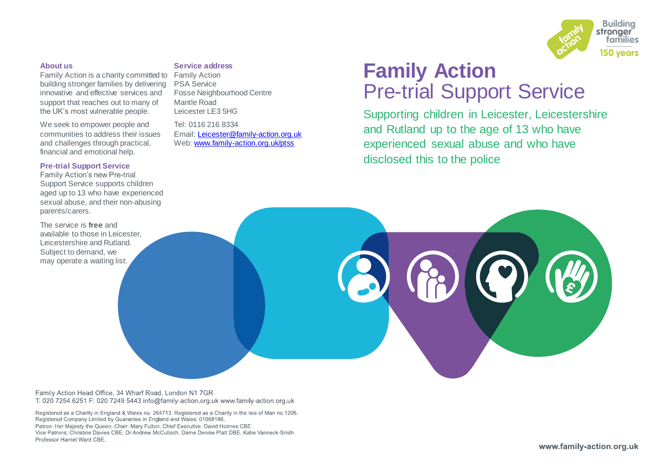

### **About us**

Family Action is a charity committed to Family Action building stronger families by delivering innovative and effective services and support that reaches out to many of the UK's most vulnerable people.

We seek to empower people and communities to address their issues and challenges through practical, financial and emotional help.

### **Pre-trial Support Service**

Family Action's new Pre-trial Support Service supports children aged up to 13 who have experienced sexual abuse, and their non-abusing parents/carers.

The service is **free** and available to those in Leicester Leicestershire and Rutland. Subject to demand, we may operate a waiting list.

### **Service address**

PSA Service Fosse Neighbourhood Centre Mantle Road Leicester LE3 5HG

Tel: 0116 216 8334 Email: [Leicester@family-action.org.uk](mailto:Leicester@family-action.org.uk) Web: [www.family-action.org.uk/ptss](http://www.family-action.org.uk/ptss)

# **Family Action** Pre-trial Support Service

Supporting children in Leicester, Leicestershire and Rutland up to the age of 13 who have experienced sexual abuse and who have disclosed this to the police



Family Action Head Office, 34 Wharf Road, London N1 7GR T: 020 7254 6251 F: 020 7249 5443 info@family-action.org.uk www.family-action.org.uk

Registered as a Charity in England & Wales no. 264713. Registered as a Charity in the Isle of Man no.1206. Registered Company Limited by Guarantee in England and Wales: 01068186. Patron: Her Majesty the Queen, Chair: Mary Fulton, Chief Executive: David Holmes CBE Vice Patrons: Christine Davies CBE. Dr Andrew McCulloch. Dame Denise Platt DBE. Katie Vanneck-Smith. Professor Harriet Ward CBF